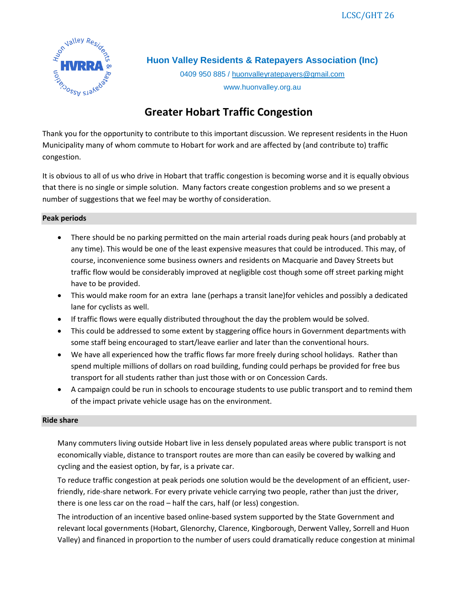

**Huon Valley Residents & Ratepayers Association (Inc)**

0409 950 885 / [huonvalleyratepayers@gmail.com](mailto:huonvalleyratepayers@gmail.com) www.huonvalley.org.au

# **Greater Hobart Traffic Congestion**

Thank you for the opportunity to contribute to this important discussion. We represent residents in the Huon Municipality many of whom commute to Hobart for work and are affected by (and contribute to) traffic congestion.

It is obvious to all of us who drive in Hobart that traffic congestion is becoming worse and it is equally obvious that there is no single or simple solution. Many factors create congestion problems and so we present a number of suggestions that we feel may be worthy of consideration.

## **Peak periods**

- There should be no parking permitted on the main arterial roads during peak hours (and probably at any time). This would be one of the least expensive measures that could be introduced. This may, of course, inconvenience some business owners and residents on Macquarie and Davey Streets but traffic flow would be considerably improved at negligible cost though some off street parking might have to be provided.
- This would make room for an extra lane (perhaps a transit lane)for vehicles and possibly a dedicated lane for cyclists as well.
- If traffic flows were equally distributed throughout the day the problem would be solved.
- This could be addressed to some extent by staggering office hours in Government departments with some staff being encouraged to start/leave earlier and later than the conventional hours.
- We have all experienced how the traffic flows far more freely during school holidays. Rather than spend multiple millions of dollars on road building, funding could perhaps be provided for free bus transport for all students rather than just those with or on Concession Cards.
- A campaign could be run in schools to encourage students to use public transport and to remind them of the impact private vehicle usage has on the environment.

## **Ride share**

Many commuters living outside Hobart live in less densely populated areas where public transport is not economically viable, distance to transport routes are more than can easily be covered by walking and cycling and the easiest option, by far, is a private car.

To reduce traffic congestion at peak periods one solution would be the development of an efficient, userfriendly, ride-share network. For every private vehicle carrying two people, rather than just the driver, there is one less car on the road – half the cars, half (or less) congestion.

The introduction of an incentive based online-based system supported by the State Government and relevant local governments (Hobart, Glenorchy, Clarence, Kingborough, Derwent Valley, Sorrell and Huon Valley) and financed in proportion to the number of users could dramatically reduce congestion at minimal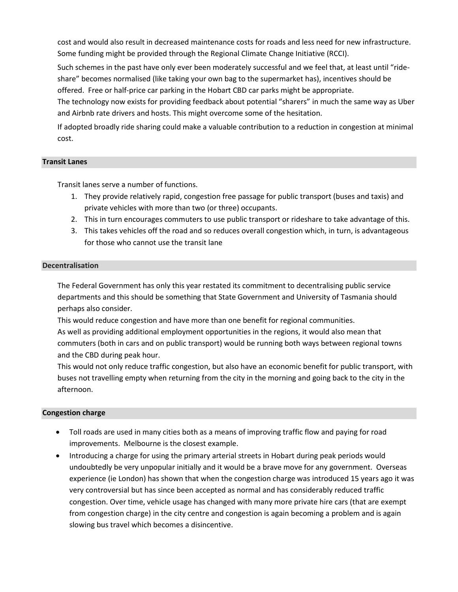cost and would also result in decreased maintenance costs for roads and less need for new infrastructure. Some funding might be provided through the Regional Climate Change Initiative (RCCI).

Such schemes in the past have only ever been moderately successful and we feel that, at least until "rideshare" becomes normalised (like taking your own bag to the supermarket has), incentives should be offered. Free or half-price car parking in the Hobart CBD car parks might be appropriate.

The technology now exists for providing feedback about potential "sharers" in much the same way as Uber and Airbnb rate drivers and hosts. This might overcome some of the hesitation.

If adopted broadly ride sharing could make a valuable contribution to a reduction in congestion at minimal cost.

#### **Transit Lanes**

Transit lanes serve a number of functions.

- 1. They provide relatively rapid, congestion free passage for public transport (buses and taxis) and private vehicles with more than two (or three) occupants.
- 2. This in turn encourages commuters to use public transport or rideshare to take advantage of this.
- 3. This takes vehicles off the road and so reduces overall congestion which, in turn, is advantageous for those who cannot use the transit lane

#### **Decentralisation**

The Federal Government has only this year restated its commitment to decentralising public service departments and this should be something that State Government and University of Tasmania should perhaps also consider.

This would reduce congestion and have more than one benefit for regional communities.

As well as providing additional employment opportunities in the regions, it would also mean that commuters (both in cars and on public transport) would be running both ways between regional towns and the CBD during peak hour.

This would not only reduce traffic congestion, but also have an economic benefit for public transport, with buses not travelling empty when returning from the city in the morning and going back to the city in the afternoon.

#### **Congestion charge**

- Toll roads are used in many cities both as a means of improving traffic flow and paying for road improvements. Melbourne is the closest example.
- Introducing a charge for using the primary arterial streets in Hobart during peak periods would undoubtedly be very unpopular initially and it would be a brave move for any government. Overseas experience (ie London) has shown that when the congestion charge was introduced 15 years ago it was very controversial but has since been accepted as normal and has considerably reduced traffic congestion. Over time, vehicle usage has changed with many more private hire cars (that are exempt from congestion charge) in the city centre and congestion is again becoming a problem and is again slowing bus travel which becomes a disincentive.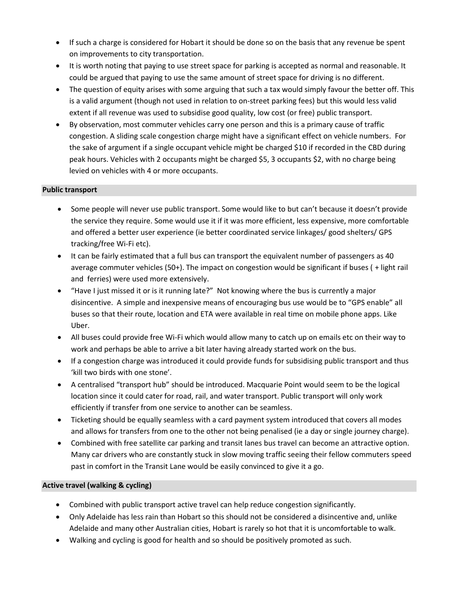- If such a charge is considered for Hobart it should be done so on the basis that any revenue be spent on improvements to city transportation.
- It is worth noting that paying to use street space for parking is accepted as normal and reasonable. It could be argued that paying to use the same amount of street space for driving is no different.
- The question of equity arises with some arguing that such a tax would simply favour the better off. This is a valid argument (though not used in relation to on-street parking fees) but this would less valid extent if all revenue was used to subsidise good quality, low cost (or free) public transport.
- By observation, most commuter vehicles carry one person and this is a primary cause of traffic congestion. A sliding scale congestion charge might have a significant effect on vehicle numbers. For the sake of argument if a single occupant vehicle might be charged \$10 if recorded in the CBD during peak hours. Vehicles with 2 occupants might be charged \$5, 3 occupants \$2, with no charge being levied on vehicles with 4 or more occupants.

### **Public transport**

- Some people will never use public transport. Some would like to but can't because it doesn't provide the service they require. Some would use it if it was more efficient, less expensive, more comfortable and offered a better user experience (ie better coordinated service linkages/ good shelters/ GPS tracking/free Wi-Fi etc).
- It can be fairly estimated that a full bus can transport the equivalent number of passengers as 40 average commuter vehicles (50+). The impact on congestion would be significant if buses ( + light rail and ferries) were used more extensively.
- "Have I just missed it or is it running late?" Not knowing where the bus is currently a major disincentive. A simple and inexpensive means of encouraging bus use would be to "GPS enable" all buses so that their route, location and ETA were available in real time on mobile phone apps. Like Uber.
- All buses could provide free Wi-Fi which would allow many to catch up on emails etc on their way to work and perhaps be able to arrive a bit later having already started work on the bus.
- If a congestion charge was introduced it could provide funds for subsidising public transport and thus 'kill two birds with one stone'.
- A centralised "transport hub" should be introduced. Macquarie Point would seem to be the logical location since it could cater for road, rail, and water transport. Public transport will only work efficiently if transfer from one service to another can be seamless.
- Ticketing should be equally seamless with a card payment system introduced that covers all modes and allows for transfers from one to the other not being penalised (ie a day or single journey charge).
- Combined with free satellite car parking and transit lanes bus travel can become an attractive option. Many car drivers who are constantly stuck in slow moving traffic seeing their fellow commuters speed past in comfort in the Transit Lane would be easily convinced to give it a go.

#### **Active travel (walking & cycling)**

- Combined with public transport active travel can help reduce congestion significantly.
- Only Adelaide has less rain than Hobart so this should not be considered a disincentive and, unlike Adelaide and many other Australian cities, Hobart is rarely so hot that it is uncomfortable to walk.
- Walking and cycling is good for health and so should be positively promoted as such.